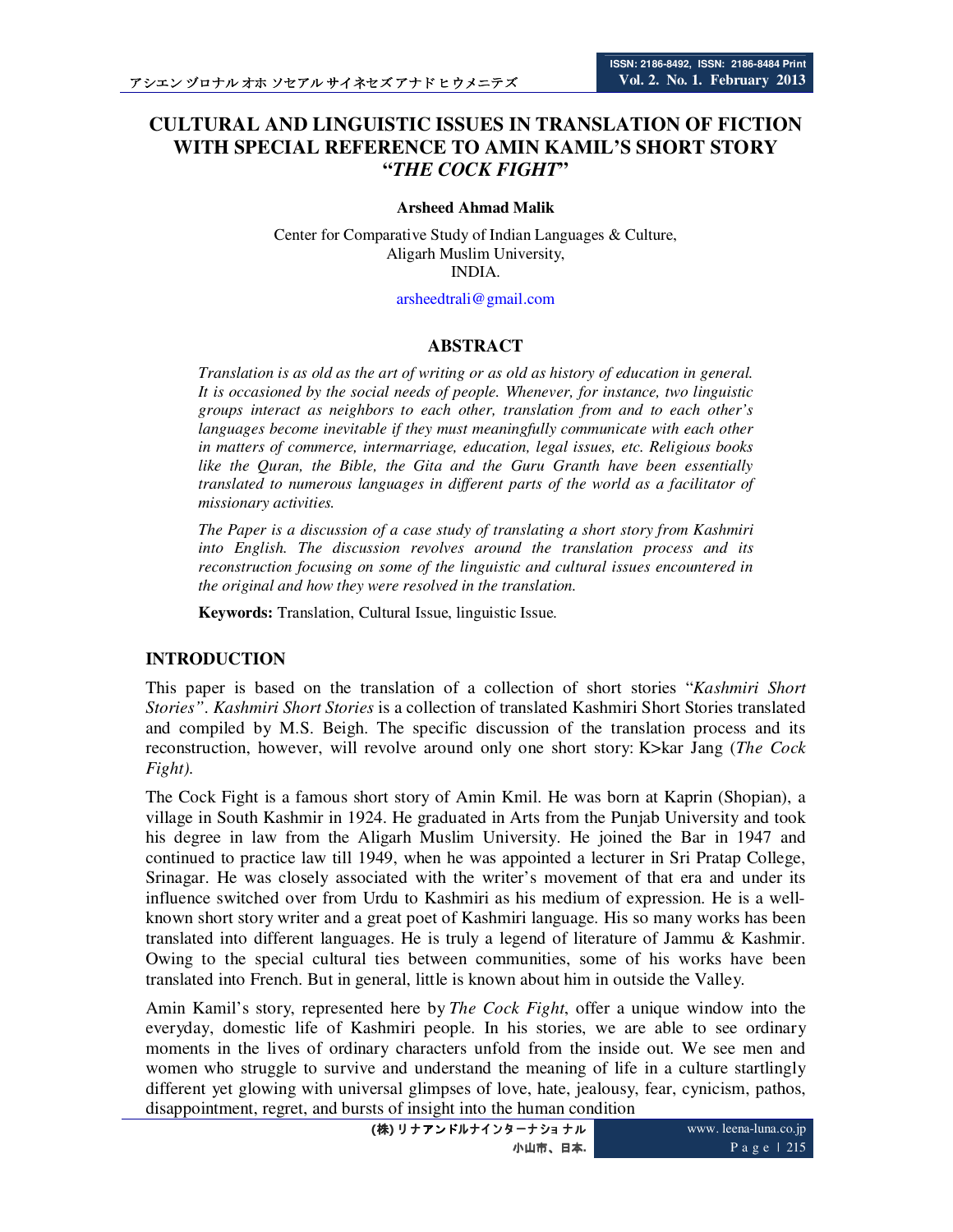# **CULTURAL AND LINGUISTIC ISSUES IN TRANSLATION OF FICTION WITH SPECIAL REFERENCE TO AMIN KAMIL'S SHORT STORY "***THE COCK FIGHT***"**

#### **Arsheed Ahmad Malik**

Center for Comparative Study of Indian Languages & Culture, Aligarh Muslim University, INDIA.

arsheedtrali@gmail.com

### **ABSTRACT**

*Translation is as old as the art of writing or as old as history of education in general. It is occasioned by the social needs of people. Whenever, for instance, two linguistic groups interact as neighbors to each other, translation from and to each other's languages become inevitable if they must meaningfully communicate with each other in matters of commerce, intermarriage, education, legal issues, etc. Religious books like the Quran, the Bible, the Gita and the Guru Granth have been essentially translated to numerous languages in different parts of the world as a facilitator of missionary activities.* 

*The Paper is a discussion of a case study of translating a short story from Kashmiri into English. The discussion revolves around the translation process and its reconstruction focusing on some of the linguistic and cultural issues encountered in the original and how they were resolved in the translation.* 

**Keywords:** Translation, Cultural Issue, linguistic Issue.

### **INTRODUCTION**

This paper is based on the translation of a collection of short stories "*Kashmiri Short Stories"*. *Kashmiri Short Stories* is a collection of translated Kashmiri Short Stories translated and compiled by M.S. Beigh. The specific discussion of the translation process and its reconstruction, however, will revolve around only one short story: K>kar Jang (*The Cock Fight).*

The Cock Fight is a famous short story of Amin Kmil. He was born at Kaprin (Shopian), a village in South Kashmir in 1924. He graduated in Arts from the Punjab University and took his degree in law from the Aligarh Muslim University. He joined the Bar in 1947 and continued to practice law till 1949, when he was appointed a lecturer in Sri Pratap College, Srinagar. He was closely associated with the writer's movement of that era and under its influence switched over from Urdu to Kashmiri as his medium of expression. He is a wellknown short story writer and a great poet of Kashmiri language. His so many works has been translated into different languages. He is truly a legend of literature of Jammu & Kashmir. Owing to the special cultural ties between communities, some of his works have been translated into French. But in general, little is known about him in outside the Valley.

Amin Kamil's story, represented here by *The Cock Fight*, offer a unique window into the everyday, domestic life of Kashmiri people. In his stories, we are able to see ordinary moments in the lives of ordinary characters unfold from the inside out. We see men and women who struggle to survive and understand the meaning of life in a culture startlingly different yet glowing with universal glimpses of love, hate, jealousy, fear, cynicism, pathos, disappointment, regret, and bursts of insight into the human condition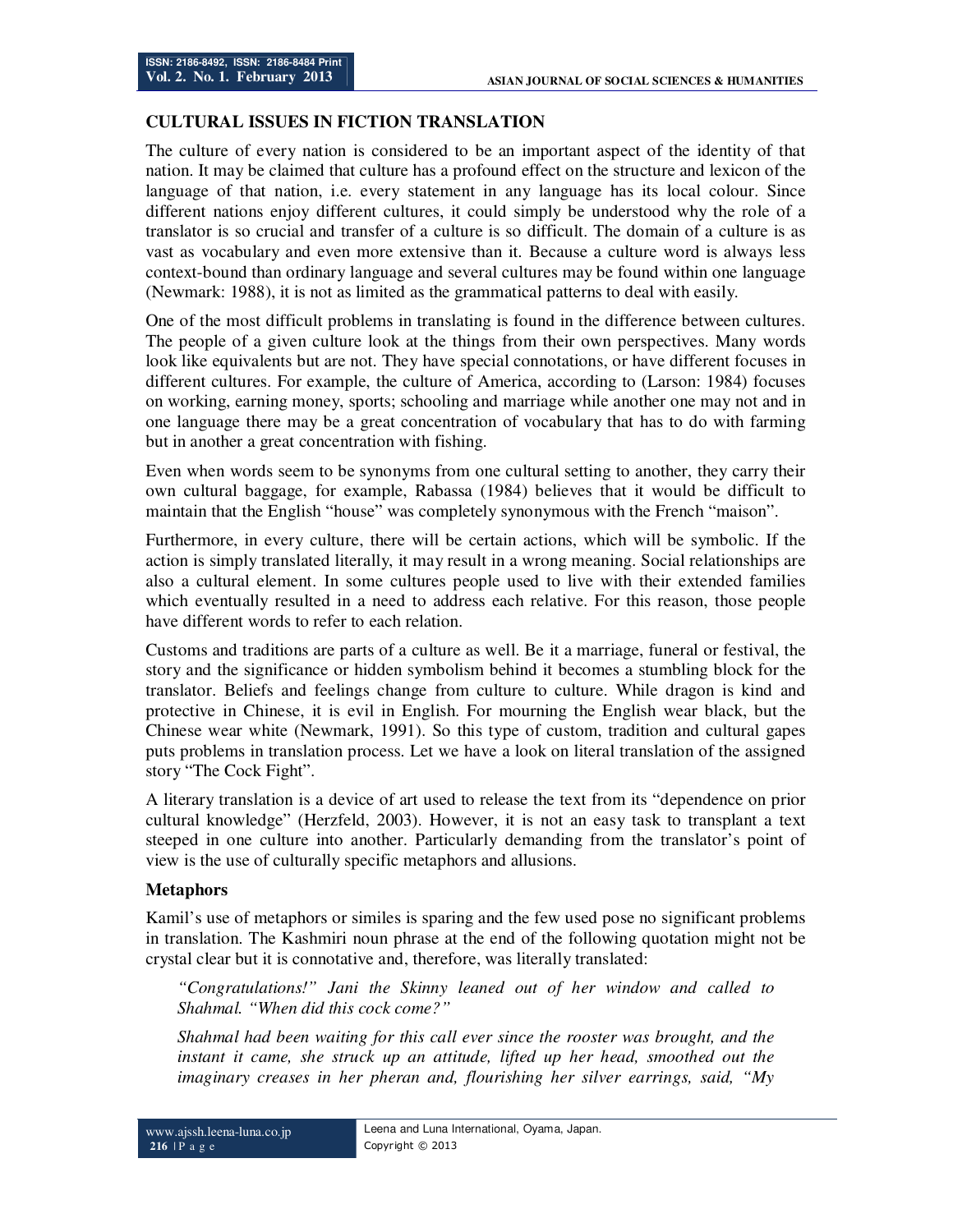### **CULTURAL ISSUES IN FICTION TRANSLATION**

The culture of every nation is considered to be an important aspect of the identity of that nation. It may be claimed that culture has a profound effect on the structure and lexicon of the language of that nation, i.e. every statement in any language has its local colour. Since different nations enjoy different cultures, it could simply be understood why the role of a translator is so crucial and transfer of a culture is so difficult. The domain of a culture is as vast as vocabulary and even more extensive than it. Because a culture word is always less context-bound than ordinary language and several cultures may be found within one language (Newmark: 1988), it is not as limited as the grammatical patterns to deal with easily.

One of the most difficult problems in translating is found in the difference between cultures. The people of a given culture look at the things from their own perspectives. Many words look like equivalents but are not. They have special connotations, or have different focuses in different cultures. For example, the culture of America, according to (Larson: 1984) focuses on working, earning money, sports; schooling and marriage while another one may not and in one language there may be a great concentration of vocabulary that has to do with farming but in another a great concentration with fishing.

Even when words seem to be synonyms from one cultural setting to another, they carry their own cultural baggage, for example, Rabassa (1984) believes that it would be difficult to maintain that the English "house" was completely synonymous with the French "maison".

Furthermore, in every culture, there will be certain actions, which will be symbolic. If the action is simply translated literally, it may result in a wrong meaning. Social relationships are also a cultural element. In some cultures people used to live with their extended families which eventually resulted in a need to address each relative. For this reason, those people have different words to refer to each relation.

Customs and traditions are parts of a culture as well. Be it a marriage, funeral or festival, the story and the significance or hidden symbolism behind it becomes a stumbling block for the translator. Beliefs and feelings change from culture to culture. While dragon is kind and protective in Chinese, it is evil in English. For mourning the English wear black, but the Chinese wear white (Newmark, 1991). So this type of custom, tradition and cultural gapes puts problems in translation process. Let we have a look on literal translation of the assigned story "The Cock Fight".

A literary translation is a device of art used to release the text from its "dependence on prior cultural knowledge" (Herzfeld, 2003). However, it is not an easy task to transplant a text steeped in one culture into another. Particularly demanding from the translator's point of view is the use of culturally specific metaphors and allusions.

### **Metaphors**

Kamil's use of metaphors or similes is sparing and the few used pose no significant problems in translation. The Kashmiri noun phrase at the end of the following quotation might not be crystal clear but it is connotative and, therefore, was literally translated:

*"Congratulations!" Jani the Skinny leaned out of her window and called to Shahmal. "When did this cock come?"* 

*Shahmal had been waiting for this call ever since the rooster was brought, and the instant it came, she struck up an attitude, lifted up her head, smoothed out the imaginary creases in her pheran and, flourishing her silver earrings, said, "My*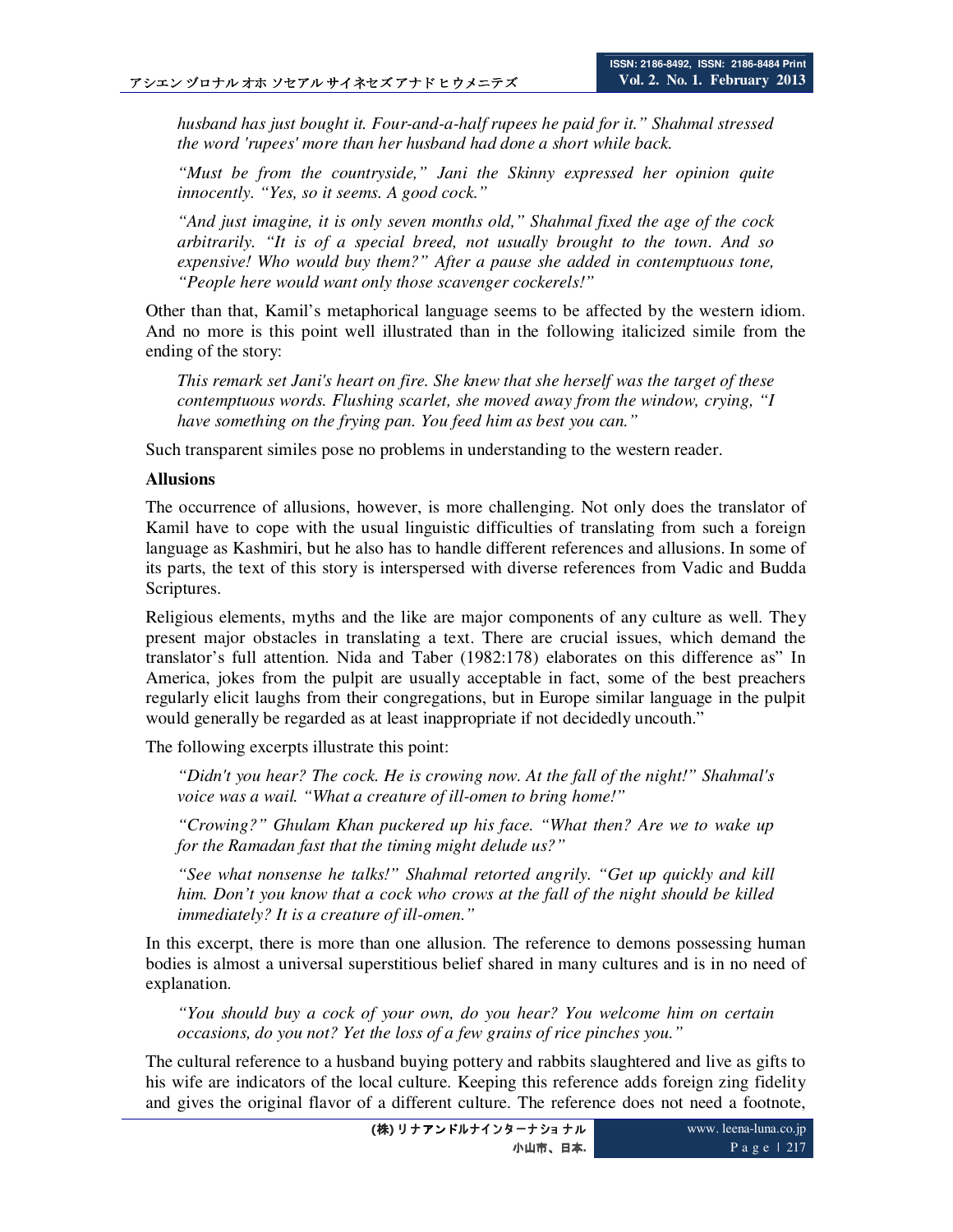*husband has just bought it. Four-and-a-half rupees he paid for it." Shahmal stressed the word 'rupees' more than her husband had done a short while back.* 

*"Must be from the countryside," Jani the Skinny expressed her opinion quite innocently. "Yes, so it seems. A good cock."* 

*"And just imagine, it is only seven months old," Shahmal fixed the age of the cock arbitrarily. "It is of a special breed, not usually brought to the town. And so expensive! Who would buy them?" After a pause she added in contemptuous tone, "People here would want only those scavenger cockerels!"* 

Other than that, Kamil's metaphorical language seems to be affected by the western idiom. And no more is this point well illustrated than in the following italicized simile from the ending of the story:

*This remark set Jani's heart on fire. She knew that she herself was the target of these contemptuous words. Flushing scarlet, she moved away from the window, crying, "I have something on the frying pan. You feed him as best you can."* 

Such transparent similes pose no problems in understanding to the western reader.

#### **Allusions**

The occurrence of allusions, however, is more challenging. Not only does the translator of Kamil have to cope with the usual linguistic difficulties of translating from such a foreign language as Kashmiri, but he also has to handle different references and allusions. In some of its parts, the text of this story is interspersed with diverse references from Vadic and Budda Scriptures.

Religious elements, myths and the like are major components of any culture as well. They present major obstacles in translating a text. There are crucial issues, which demand the translator's full attention. Nida and Taber (1982:178) elaborates on this difference as" In America, jokes from the pulpit are usually acceptable in fact, some of the best preachers regularly elicit laughs from their congregations, but in Europe similar language in the pulpit would generally be regarded as at least inappropriate if not decidedly uncouth."

The following excerpts illustrate this point:

*"Didn't you hear? The cock. He is crowing now. At the fall of the night!" Shahmal's voice was a wail. "What a creature of ill-omen to bring home!"* 

*"Crowing?" Ghulam Khan puckered up his face. "What then? Are we to wake up for the Ramadan fast that the timing might delude us?"* 

*"See what nonsense he talks!" Shahmal retorted angrily. "Get up quickly and kill him. Don't you know that a cock who crows at the fall of the night should be killed immediately? It is a creature of ill-omen."* 

In this excerpt, there is more than one allusion. The reference to demons possessing human bodies is almost a universal superstitious belief shared in many cultures and is in no need of explanation.

*"You should buy a cock of your own, do you hear? You welcome him on certain occasions, do you not? Yet the loss of a few grains of rice pinches you."* 

The cultural reference to a husband buying pottery and rabbits slaughtered and live as gifts to his wife are indicators of the local culture. Keeping this reference adds foreign zing fidelity and gives the original flavor of a different culture. The reference does not need a footnote,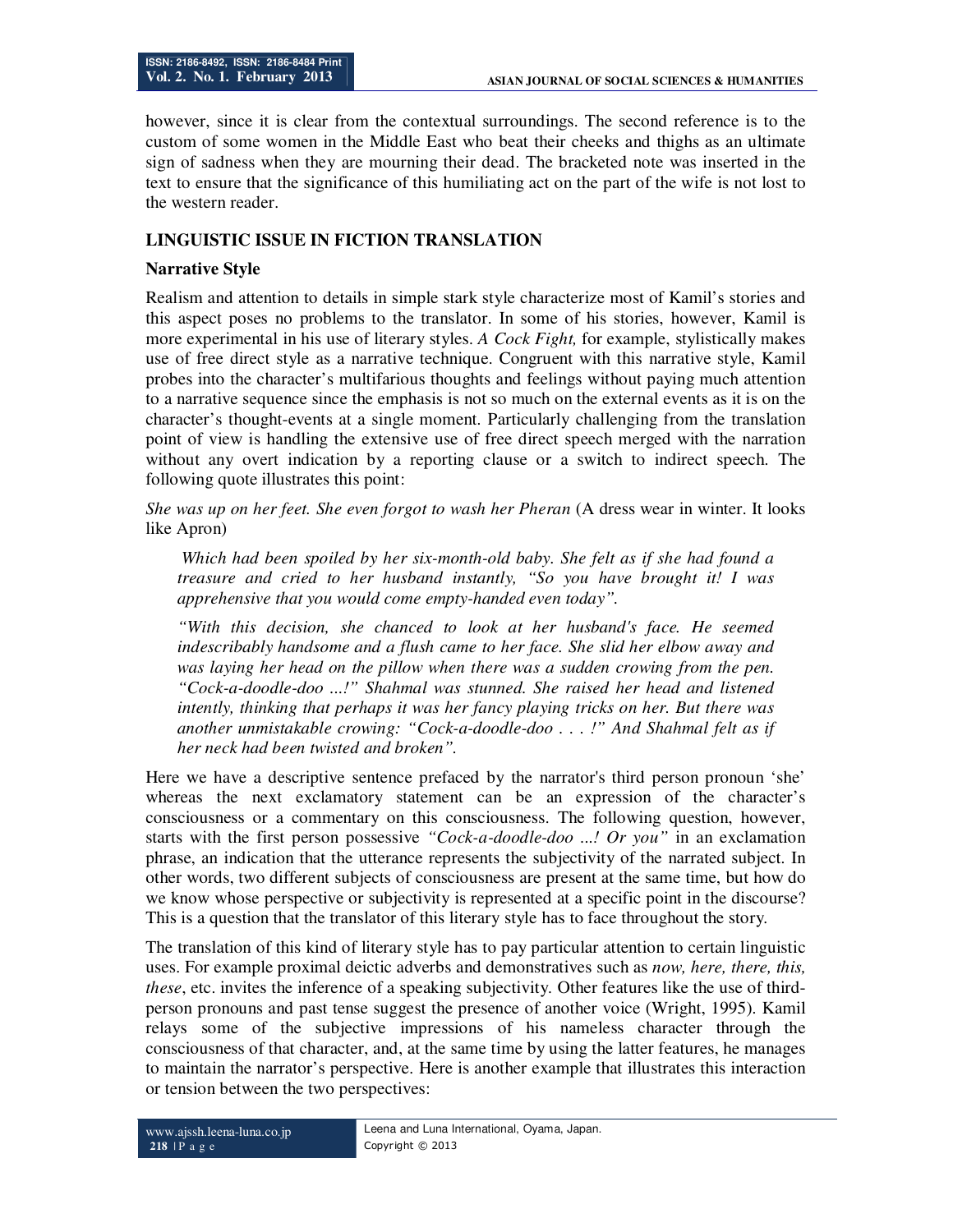however, since it is clear from the contextual surroundings. The second reference is to the custom of some women in the Middle East who beat their cheeks and thighs as an ultimate sign of sadness when they are mourning their dead. The bracketed note was inserted in the text to ensure that the significance of this humiliating act on the part of the wife is not lost to the western reader.

## **LINGUISTIC ISSUE IN FICTION TRANSLATION**

### **Narrative Style**

Realism and attention to details in simple stark style characterize most of Kamil's stories and this aspect poses no problems to the translator. In some of his stories, however, Kamil is more experimental in his use of literary styles. *A Cock Fight,* for example, stylistically makes use of free direct style as a narrative technique. Congruent with this narrative style, Kamil probes into the character's multifarious thoughts and feelings without paying much attention to a narrative sequence since the emphasis is not so much on the external events as it is on the character's thought-events at a single moment. Particularly challenging from the translation point of view is handling the extensive use of free direct speech merged with the narration without any overt indication by a reporting clause or a switch to indirect speech. The following quote illustrates this point:

*She was up on her feet. She even forgot to wash her Pheran* (A dress wear in winter. It looks like Apron)

 *Which had been spoiled by her six-month-old baby. She felt as if she had found a treasure and cried to her husband instantly, "So you have brought it! I was apprehensive that you would come empty-handed even today".* 

*"With this decision, she chanced to look at her husband's face. He seemed indescribably handsome and a flush came to her face. She slid her elbow away and*  was laying her head on the pillow when there was a sudden crowing from the pen. *"Cock-a-doodle-doo ...!" Shahmal was stunned. She raised her head and listened intently, thinking that perhaps it was her fancy playing tricks on her. But there was another unmistakable crowing: "Cock-a-doodle-doo . . . !" And Shahmal felt as if her neck had been twisted and broken".* 

Here we have a descriptive sentence prefaced by the narrator's third person pronoun 'she' whereas the next exclamatory statement can be an expression of the character's consciousness or a commentary on this consciousness. The following question, however, starts with the first person possessive *"Cock-a-doodle-doo ...! Or you"* in an exclamation phrase, an indication that the utterance represents the subjectivity of the narrated subject. In other words, two different subjects of consciousness are present at the same time, but how do we know whose perspective or subjectivity is represented at a specific point in the discourse? This is a question that the translator of this literary style has to face throughout the story.

The translation of this kind of literary style has to pay particular attention to certain linguistic uses. For example proximal deictic adverbs and demonstratives such as *now, here, there, this, these*, etc. invites the inference of a speaking subjectivity. Other features like the use of thirdperson pronouns and past tense suggest the presence of another voice (Wright, 1995). Kamil relays some of the subjective impressions of his nameless character through the consciousness of that character, and, at the same time by using the latter features, he manages to maintain the narrator's perspective. Here is another example that illustrates this interaction or tension between the two perspectives: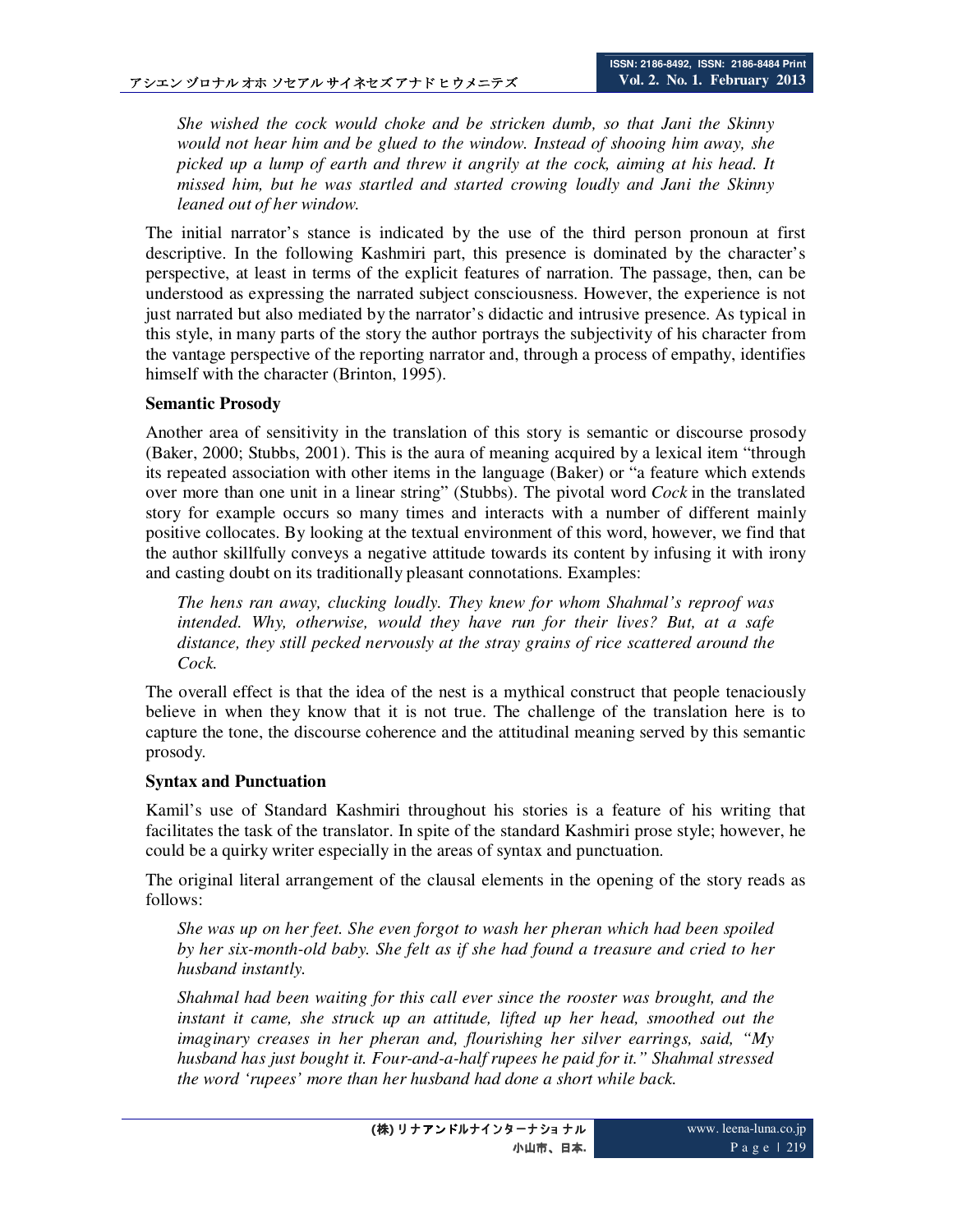*She wished the cock would choke and be stricken dumb, so that Jani the Skinny would not hear him and be glued to the window. Instead of shooing him away, she picked up a lump of earth and threw it angrily at the cock, aiming at his head. It missed him, but he was startled and started crowing loudly and Jani the Skinny leaned out of her window.* 

The initial narrator's stance is indicated by the use of the third person pronoun at first descriptive. In the following Kashmiri part, this presence is dominated by the character's perspective, at least in terms of the explicit features of narration. The passage, then, can be understood as expressing the narrated subject consciousness. However, the experience is not just narrated but also mediated by the narrator's didactic and intrusive presence. As typical in this style, in many parts of the story the author portrays the subjectivity of his character from the vantage perspective of the reporting narrator and, through a process of empathy, identifies himself with the character (Brinton, 1995).

### **Semantic Prosody**

Another area of sensitivity in the translation of this story is semantic or discourse prosody (Baker, 2000; Stubbs, 2001). This is the aura of meaning acquired by a lexical item "through its repeated association with other items in the language (Baker) or "a feature which extends over more than one unit in a linear string" (Stubbs). The pivotal word *Cock* in the translated story for example occurs so many times and interacts with a number of different mainly positive collocates. By looking at the textual environment of this word, however, we find that the author skillfully conveys a negative attitude towards its content by infusing it with irony and casting doubt on its traditionally pleasant connotations. Examples:

*The hens ran away, clucking loudly. They knew for whom Shahmal's reproof was intended. Why, otherwise, would they have run for their lives? But, at a safe distance, they still pecked nervously at the stray grains of rice scattered around the Cock.* 

The overall effect is that the idea of the nest is a mythical construct that people tenaciously believe in when they know that it is not true. The challenge of the translation here is to capture the tone, the discourse coherence and the attitudinal meaning served by this semantic prosody.

### **Syntax and Punctuation**

Kamil's use of Standard Kashmiri throughout his stories is a feature of his writing that facilitates the task of the translator. In spite of the standard Kashmiri prose style; however, he could be a quirky writer especially in the areas of syntax and punctuation.

The original literal arrangement of the clausal elements in the opening of the story reads as follows:

*She was up on her feet. She even forgot to wash her pheran which had been spoiled by her six-month-old baby. She felt as if she had found a treasure and cried to her husband instantly.* 

*Shahmal had been waiting for this call ever since the rooster was brought, and the*  instant it came, she struck up an attitude, lifted up her head, smoothed out the *imaginary creases in her pheran and, flourishing her silver earrings, said, "My husband has just bought it. Four-and-a-half rupees he paid for it." Shahmal stressed the word 'rupees' more than her husband had done a short while back.*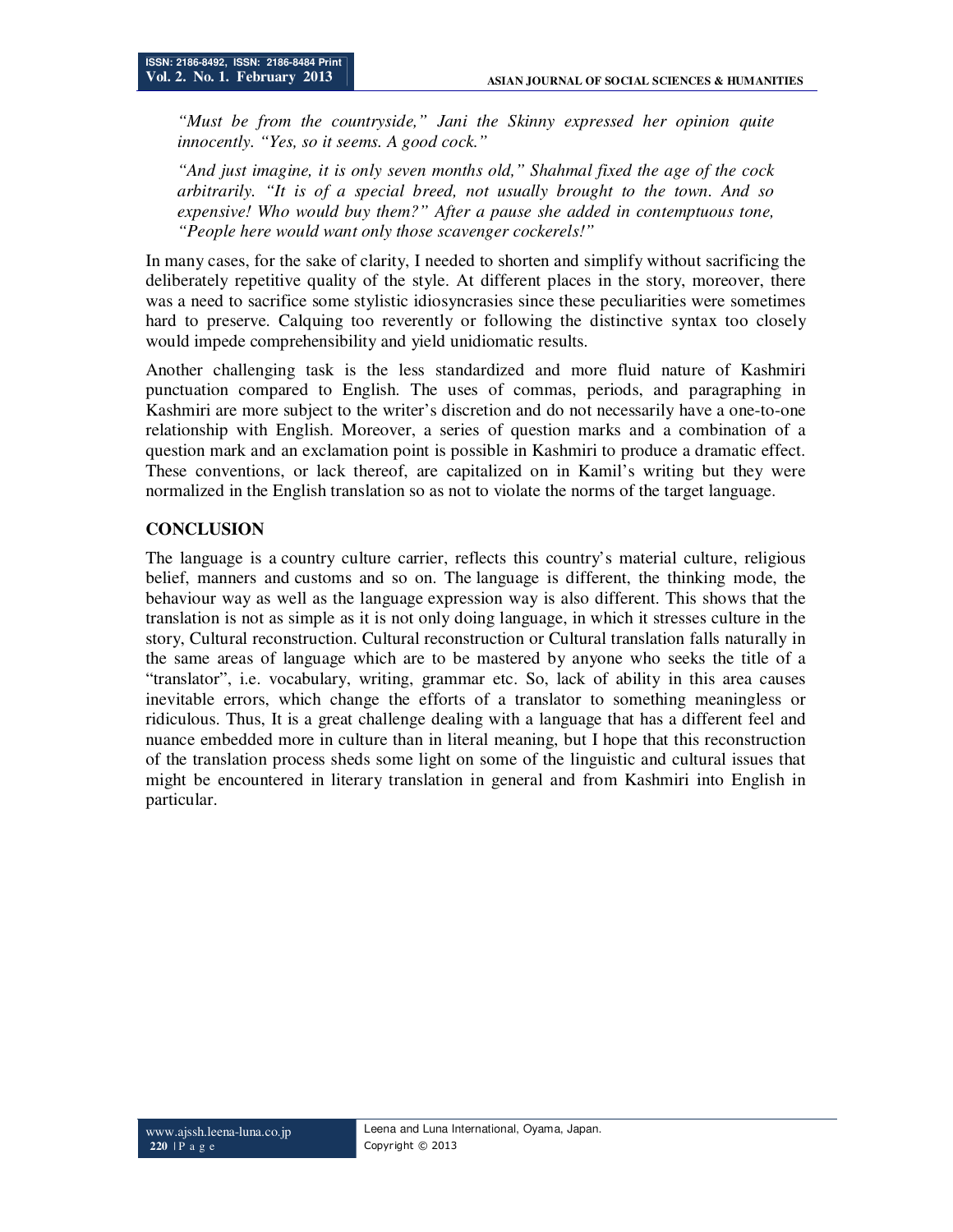*"Must be from the countryside," Jani the Skinny expressed her opinion quite innocently. "Yes, so it seems. A good cock."* 

*"And just imagine, it is only seven months old," Shahmal fixed the age of the cock arbitrarily. "It is of a special breed, not usually brought to the town. And so expensive! Who would buy them?" After a pause she added in contemptuous tone, "People here would want only those scavenger cockerels!"* 

In many cases, for the sake of clarity, I needed to shorten and simplify without sacrificing the deliberately repetitive quality of the style. At different places in the story, moreover, there was a need to sacrifice some stylistic idiosyncrasies since these peculiarities were sometimes hard to preserve. Calquing too reverently or following the distinctive syntax too closely would impede comprehensibility and yield unidiomatic results.

Another challenging task is the less standardized and more fluid nature of Kashmiri punctuation compared to English. The uses of commas, periods, and paragraphing in Kashmiri are more subject to the writer's discretion and do not necessarily have a one-to-one relationship with English. Moreover, a series of question marks and a combination of a question mark and an exclamation point is possible in Kashmiri to produce a dramatic effect. These conventions, or lack thereof, are capitalized on in Kamil's writing but they were normalized in the English translation so as not to violate the norms of the target language.

## **CONCLUSION**

The language is a country culture carrier, reflects this country's material culture, religious belief, manners and customs and so on. The language is different, the thinking mode, the behaviour way as well as the language expression way is also different. This shows that the translation is not as simple as it is not only doing language, in which it stresses culture in the story, Cultural reconstruction. Cultural reconstruction or Cultural translation falls naturally in the same areas of language which are to be mastered by anyone who seeks the title of a "translator", i.e. vocabulary, writing, grammar etc. So, lack of ability in this area causes inevitable errors, which change the efforts of a translator to something meaningless or ridiculous. Thus, It is a great challenge dealing with a language that has a different feel and nuance embedded more in culture than in literal meaning, but I hope that this reconstruction of the translation process sheds some light on some of the linguistic and cultural issues that might be encountered in literary translation in general and from Kashmiri into English in particular.